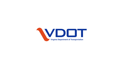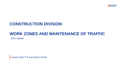

## **CONSTRUCTION DIVISION**

## **WORK ZONES AND MAINTENANCE OF TRAFFIC**

2021 Update

**Jeremy Kitto P.E and Jason Archer**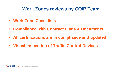# **Work Zones reviews by CQIP Team**

- **Work Zone Checklists**
- **Compliance with Contract Plans & Documents**
- **All certifications are in compliance and updated**
- **Visual inspection of Traffic Control Devices**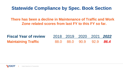## **Statewide Compliance by Spec. Book Section**

**There has been a decline in Maintenance of Traffic and Work Zone related scores from last FY to this FY so far.** 

| <b>Fiscal Year of review</b> |  | 2018 2019 2020 2021 2022 |  |
|------------------------------|--|--------------------------|--|
| <b>Maintaining Traffic</b>   |  | 88.0 88.0 90.9 92.9 86.4 |  |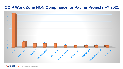#### **CQIP Work Zone NON Compliance for Paving Projects FY 2021**

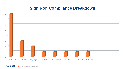### **Sign Non Compliance Breakdown**



**VDOT** Virginia Department of Transportation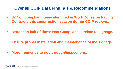#### **Over all CQIP Data Findings & Recommendations**

- **32 Non compliant items identified in Work Zones on Paving Contracts this construction season during CQIP reviews.**
- **More than half of those Non Compliances relate to signage.**
- **Ensure proper installation and maintenance of the signage.**
- **More frequent site ride through/inspections.**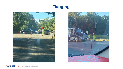## **Flagging**





Virginia Department of Transportation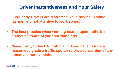# **Driver Inattentiveness and Your Safety**

- **Frequently Drivers are distracted while driving in some fashion and not attentive to work zones.**
- **The best practice when working next to open traffic is to always be aware of your surroundings.**
- **Never turn you back to traffic and if you have to for any reason designate a traffic spotter to provide warning of any potential errant vehicle.**